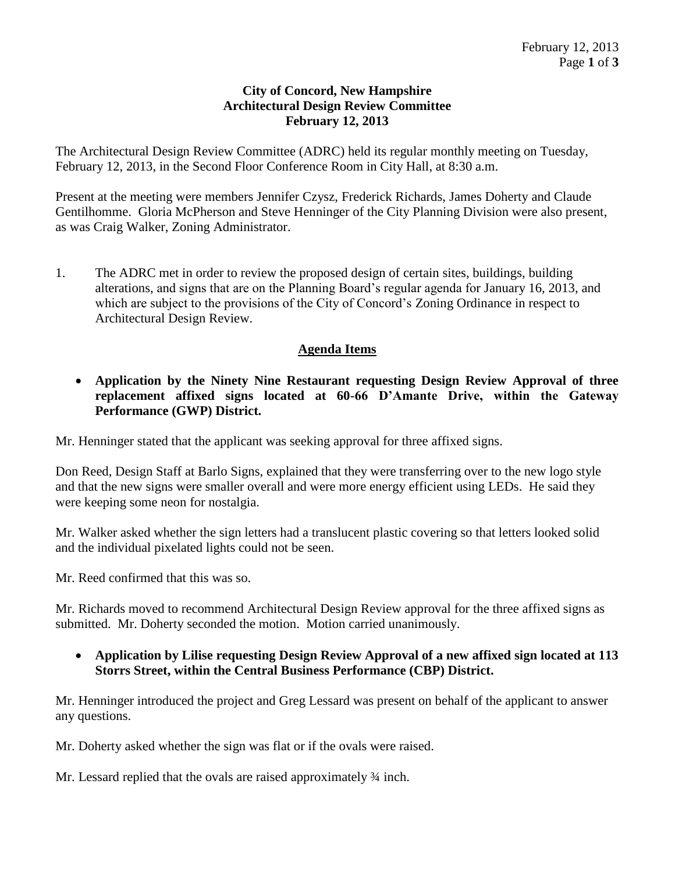## **City of Concord, New Hampshire Architectural Design Review Committee February 12, 2013**

The Architectural Design Review Committee (ADRC) held its regular monthly meeting on Tuesday, February 12, 2013, in the Second Floor Conference Room in City Hall, at 8:30 a.m.

Present at the meeting were members Jennifer Czysz, Frederick Richards, James Doherty and Claude Gentilhomme. Gloria McPherson and Steve Henninger of the City Planning Division were also present, as was Craig Walker, Zoning Administrator.

1. The ADRC met in order to review the proposed design of certain sites, buildings, building alterations, and signs that are on the Planning Board's regular agenda for January 16, 2013, and which are subject to the provisions of the City of Concord's Zoning Ordinance in respect to Architectural Design Review.

## **Agenda Items**

 **Application by the Ninety Nine Restaurant requesting Design Review Approval of three replacement affixed signs located at 60-66 D'Amante Drive, within the Gateway Performance (GWP) District.**

Mr. Henninger stated that the applicant was seeking approval for three affixed signs.

Don Reed, Design Staff at Barlo Signs, explained that they were transferring over to the new logo style and that the new signs were smaller overall and were more energy efficient using LEDs. He said they were keeping some neon for nostalgia.

Mr. Walker asked whether the sign letters had a translucent plastic covering so that letters looked solid and the individual pixelated lights could not be seen.

Mr. Reed confirmed that this was so.

Mr. Richards moved to recommend Architectural Design Review approval for the three affixed signs as submitted. Mr. Doherty seconded the motion. Motion carried unanimously.

 **Application by Lilise requesting Design Review Approval of a new affixed sign located at 113 Storrs Street, within the Central Business Performance (CBP) District.**

Mr. Henninger introduced the project and Greg Lessard was present on behalf of the applicant to answer any questions.

Mr. Doherty asked whether the sign was flat or if the ovals were raised.

Mr. Lessard replied that the ovals are raised approximately  $\frac{3}{4}$  inch.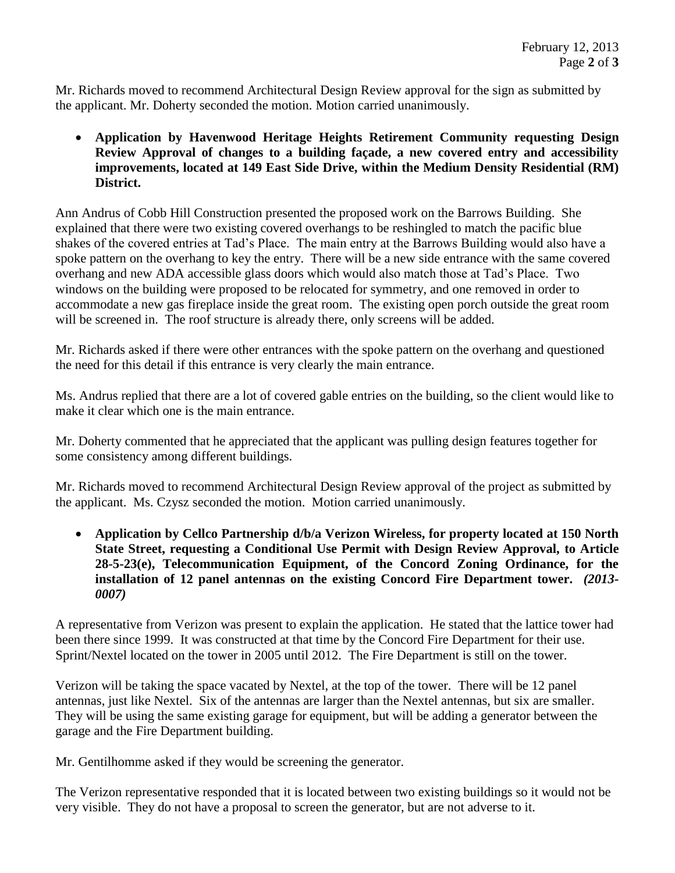Mr. Richards moved to recommend Architectural Design Review approval for the sign as submitted by the applicant. Mr. Doherty seconded the motion. Motion carried unanimously.

 **Application by Havenwood Heritage Heights Retirement Community requesting Design Review Approval of changes to a building façade, a new covered entry and accessibility improvements, located at 149 East Side Drive, within the Medium Density Residential (RM) District.**

Ann Andrus of Cobb Hill Construction presented the proposed work on the Barrows Building. She explained that there were two existing covered overhangs to be reshingled to match the pacific blue shakes of the covered entries at Tad's Place. The main entry at the Barrows Building would also have a spoke pattern on the overhang to key the entry. There will be a new side entrance with the same covered overhang and new ADA accessible glass doors which would also match those at Tad's Place. Two windows on the building were proposed to be relocated for symmetry, and one removed in order to accommodate a new gas fireplace inside the great room. The existing open porch outside the great room will be screened in. The roof structure is already there, only screens will be added.

Mr. Richards asked if there were other entrances with the spoke pattern on the overhang and questioned the need for this detail if this entrance is very clearly the main entrance.

Ms. Andrus replied that there are a lot of covered gable entries on the building, so the client would like to make it clear which one is the main entrance.

Mr. Doherty commented that he appreciated that the applicant was pulling design features together for some consistency among different buildings.

Mr. Richards moved to recommend Architectural Design Review approval of the project as submitted by the applicant. Ms. Czysz seconded the motion. Motion carried unanimously.

 **Application by Cellco Partnership d/b/a Verizon Wireless, for property located at 150 North State Street, requesting a Conditional Use Permit with Design Review Approval, to Article 28-5-23(e), Telecommunication Equipment, of the Concord Zoning Ordinance, for the installation of 12 panel antennas on the existing Concord Fire Department tower.** *(2013- 0007)*

A representative from Verizon was present to explain the application. He stated that the lattice tower had been there since 1999. It was constructed at that time by the Concord Fire Department for their use. Sprint/Nextel located on the tower in 2005 until 2012. The Fire Department is still on the tower.

Verizon will be taking the space vacated by Nextel, at the top of the tower. There will be 12 panel antennas, just like Nextel. Six of the antennas are larger than the Nextel antennas, but six are smaller. They will be using the same existing garage for equipment, but will be adding a generator between the garage and the Fire Department building.

Mr. Gentilhomme asked if they would be screening the generator.

The Verizon representative responded that it is located between two existing buildings so it would not be very visible. They do not have a proposal to screen the generator, but are not adverse to it.